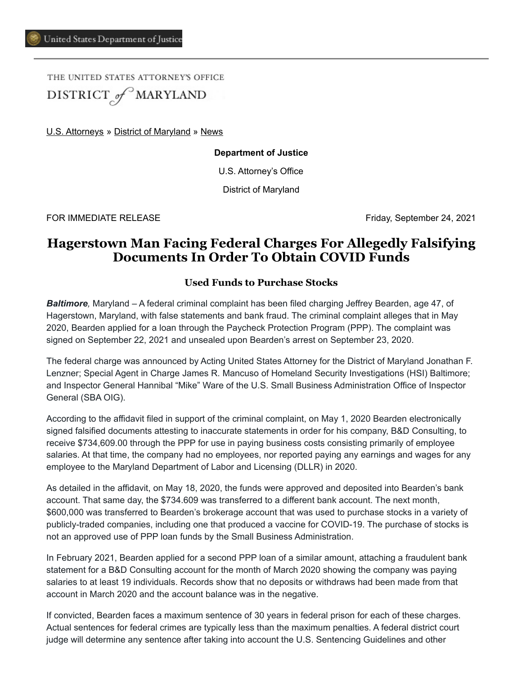THE UNITED STATES ATTORNEY'S OFFICE DISTRICT of MARYLAND

[U.S. Attorneys](https://www.justice.gov/usao) » [District of Maryland](https://www.justice.gov/usao-md) » [News](https://www.justice.gov/usao-md/pr)

**Department of Justice**

U.S. Attorney's Office

District of Maryland

FOR IMMEDIATE RELEASE Friday, September 24, 2021

## **Hagerstown Man Facing Federal Charges For Allegedly Falsifying Documents In Order To Obtain COVID Funds**

## **Used Funds to Purchase Stocks**

*Baltimore,* Maryland – A federal criminal complaint has been filed charging Jeffrey Bearden, age 47, of Hagerstown, Maryland, with false statements and bank fraud. The criminal complaint alleges that in May 2020, Bearden applied for a loan through the Paycheck Protection Program (PPP). The complaint was signed on September 22, 2021 and unsealed upon Bearden's arrest on September 23, 2020.

The federal charge was announced by Acting United States Attorney for the District of Maryland Jonathan F. Lenzner; Special Agent in Charge James R. Mancuso of Homeland Security Investigations (HSI) Baltimore; and Inspector General Hannibal "Mike" Ware of the U.S. Small Business Administration Office of Inspector General (SBA OIG).

According to the affidavit filed in support of the criminal complaint, on May 1, 2020 Bearden electronically signed falsified documents attesting to inaccurate statements in order for his company, B&D Consulting, to receive \$734,609.00 through the PPP for use in paying business costs consisting primarily of employee salaries. At that time, the company had no employees, nor reported paying any earnings and wages for any employee to the Maryland Department of Labor and Licensing (DLLR) in 2020.

As detailed in the affidavit, on May 18, 2020, the funds were approved and deposited into Bearden's bank account. That same day, the \$734.609 was transferred to a different bank account. The next month, \$600,000 was transferred to Bearden's brokerage account that was used to purchase stocks in a variety of publicly-traded companies, including one that produced a vaccine for COVID-19. The purchase of stocks is not an approved use of PPP loan funds by the Small Business Administration.

In February 2021, Bearden applied for a second PPP loan of a similar amount, attaching a fraudulent bank statement for a B&D Consulting account for the month of March 2020 showing the company was paying salaries to at least 19 individuals. Records show that no deposits or withdraws had been made from that account in March 2020 and the account balance was in the negative.

If convicted, Bearden faces a maximum sentence of 30 years in federal prison for each of these charges. Actual sentences for federal crimes are typically less than the maximum penalties. A federal district court judge will determine any sentence after taking into account the U.S. Sentencing Guidelines and other